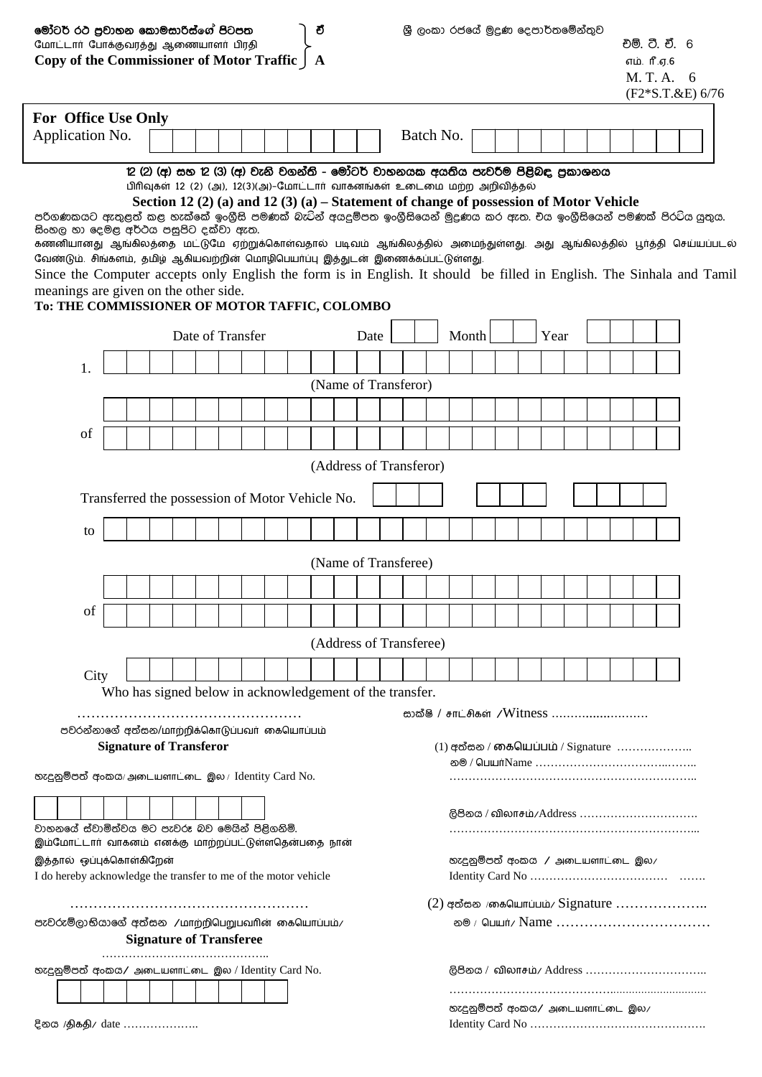|                                                                                                                                                                                                           | මෝටර් රථ පුවාහන කොමසාරිස්ගේ පිටපත<br>ච<br>மோட்டார் போக்குவரத்து ஆணையாளர் பிரதி |  |  |                                                          |  |                  |  |  |  |  |  | ශී ලංකා රජයේ මුදුණ දෙපාර්තමේන්තුව |  |  |                              |       |                                                                                                                                                            | වම්. ටී. චී. 6 |             |      |  |  |  |                                                       |  |
|-----------------------------------------------------------------------------------------------------------------------------------------------------------------------------------------------------------|--------------------------------------------------------------------------------|--|--|----------------------------------------------------------|--|------------------|--|--|--|--|--|-----------------------------------|--|--|------------------------------|-------|------------------------------------------------------------------------------------------------------------------------------------------------------------|----------------|-------------|------|--|--|--|-------------------------------------------------------|--|
| Copy of the Commissioner of Motor Traffic   A                                                                                                                                                             |                                                                                |  |  |                                                          |  |                  |  |  |  |  |  |                                   |  |  |                              |       |                                                                                                                                                            |                | எம். ரீ.ஏ.6 |      |  |  |  |                                                       |  |
|                                                                                                                                                                                                           |                                                                                |  |  |                                                          |  |                  |  |  |  |  |  |                                   |  |  |                              |       |                                                                                                                                                            |                |             |      |  |  |  | M. T. A. 6                                            |  |
|                                                                                                                                                                                                           |                                                                                |  |  |                                                          |  |                  |  |  |  |  |  |                                   |  |  |                              |       |                                                                                                                                                            |                |             |      |  |  |  | $(F2*S.T.\&E) 6/76$                                   |  |
| For Office Use Only                                                                                                                                                                                       |                                                                                |  |  |                                                          |  |                  |  |  |  |  |  |                                   |  |  |                              |       |                                                                                                                                                            |                |             |      |  |  |  |                                                       |  |
| Application No.                                                                                                                                                                                           |                                                                                |  |  |                                                          |  |                  |  |  |  |  |  |                                   |  |  | Batch No.                    |       |                                                                                                                                                            |                |             |      |  |  |  |                                                       |  |
|                                                                                                                                                                                                           |                                                                                |  |  |                                                          |  |                  |  |  |  |  |  |                                   |  |  |                              |       | 12 (2) (අ) සහ 12 (3) (අ) වැනි වගන්ති - මෝටර් වාහනයක අයතිය පැවරීම පිළිබඳ පුකාශනය<br>பிரிவுகள் 12 (2) (அ), 12(3)(அ)-மோட்டார் வாகனங்கள் உடைமை மற்ற அறிவித்தல் |                |             |      |  |  |  |                                                       |  |
|                                                                                                                                                                                                           |                                                                                |  |  |                                                          |  |                  |  |  |  |  |  |                                   |  |  |                              |       | Section 12 (2) (a) and 12 (3) (a) – Statement of change of possession of Motor Vehicle                                                                     |                |             |      |  |  |  |                                                       |  |
| පරිගණකයට ඇතුළත් කළ හැක්කේ ඉංගීසි පමණක් බැටින් අයදුම්පත ඉංගීසියෙන් මුදුණය කර ඇත. චය ඉංගීසියෙන් පමණක් පිරටිය යුතුය.<br>සිංහල හා දෙමළ අර්ථය පසුපිට දක්වා ඇත.                                                 |                                                                                |  |  |                                                          |  |                  |  |  |  |  |  |                                   |  |  |                              |       |                                                                                                                                                            |                |             |      |  |  |  |                                                       |  |
| கணனியானது ஆங்கிலத்தை மட்டுமே ஏற்றுக்கொள்வதால் படிவம் ஆங்கிலத்தில் அமைந்துள்ளது. அது ஆங்கிலத்தில் பூர்த்தி செய்யப்படல்<br>வேண்டும். சிங்களம், தமிழ் ஆகியவற்றின் மொழிபெயர்ப்பு இத்துடன் இணைக்கப்பட்டுள்ளது. |                                                                                |  |  |                                                          |  |                  |  |  |  |  |  |                                   |  |  |                              |       |                                                                                                                                                            |                |             |      |  |  |  |                                                       |  |
| Since the Computer accepts only English the form is in English. It should be filled in English. The Sinhala and Tamil                                                                                     |                                                                                |  |  |                                                          |  |                  |  |  |  |  |  |                                   |  |  |                              |       |                                                                                                                                                            |                |             |      |  |  |  |                                                       |  |
| meanings are given on the other side.                                                                                                                                                                     |                                                                                |  |  |                                                          |  |                  |  |  |  |  |  |                                   |  |  |                              |       |                                                                                                                                                            |                |             |      |  |  |  |                                                       |  |
| To: THE COMMISSIONER OF MOTOR TAFFIC, COLOMBO                                                                                                                                                             |                                                                                |  |  |                                                          |  |                  |  |  |  |  |  |                                   |  |  |                              |       |                                                                                                                                                            |                |             |      |  |  |  |                                                       |  |
|                                                                                                                                                                                                           |                                                                                |  |  |                                                          |  | Date of Transfer |  |  |  |  |  | Date                              |  |  |                              | Month |                                                                                                                                                            |                |             | Year |  |  |  |                                                       |  |
| 1.                                                                                                                                                                                                        |                                                                                |  |  |                                                          |  |                  |  |  |  |  |  |                                   |  |  |                              |       |                                                                                                                                                            |                |             |      |  |  |  |                                                       |  |
|                                                                                                                                                                                                           |                                                                                |  |  |                                                          |  |                  |  |  |  |  |  | (Name of Transferor)              |  |  |                              |       |                                                                                                                                                            |                |             |      |  |  |  |                                                       |  |
|                                                                                                                                                                                                           |                                                                                |  |  |                                                          |  |                  |  |  |  |  |  |                                   |  |  |                              |       |                                                                                                                                                            |                |             |      |  |  |  |                                                       |  |
| of                                                                                                                                                                                                        |                                                                                |  |  |                                                          |  |                  |  |  |  |  |  |                                   |  |  |                              |       |                                                                                                                                                            |                |             |      |  |  |  |                                                       |  |
|                                                                                                                                                                                                           |                                                                                |  |  |                                                          |  |                  |  |  |  |  |  | (Address of Transferor)           |  |  |                              |       |                                                                                                                                                            |                |             |      |  |  |  |                                                       |  |
|                                                                                                                                                                                                           |                                                                                |  |  |                                                          |  |                  |  |  |  |  |  |                                   |  |  |                              |       |                                                                                                                                                            |                |             |      |  |  |  |                                                       |  |
|                                                                                                                                                                                                           |                                                                                |  |  | Transferred the possession of Motor Vehicle No.          |  |                  |  |  |  |  |  |                                   |  |  |                              |       |                                                                                                                                                            |                |             |      |  |  |  |                                                       |  |
| to                                                                                                                                                                                                        |                                                                                |  |  |                                                          |  |                  |  |  |  |  |  |                                   |  |  |                              |       |                                                                                                                                                            |                |             |      |  |  |  |                                                       |  |
|                                                                                                                                                                                                           |                                                                                |  |  |                                                          |  |                  |  |  |  |  |  |                                   |  |  |                              |       |                                                                                                                                                            |                |             |      |  |  |  |                                                       |  |
|                                                                                                                                                                                                           |                                                                                |  |  |                                                          |  |                  |  |  |  |  |  | (Name of Transferee)              |  |  |                              |       |                                                                                                                                                            |                |             |      |  |  |  |                                                       |  |
|                                                                                                                                                                                                           |                                                                                |  |  |                                                          |  |                  |  |  |  |  |  |                                   |  |  |                              |       |                                                                                                                                                            |                |             |      |  |  |  |                                                       |  |
| of                                                                                                                                                                                                        |                                                                                |  |  |                                                          |  |                  |  |  |  |  |  |                                   |  |  |                              |       |                                                                                                                                                            |                |             |      |  |  |  |                                                       |  |
|                                                                                                                                                                                                           |                                                                                |  |  |                                                          |  |                  |  |  |  |  |  | (Address of Transferee)           |  |  |                              |       |                                                                                                                                                            |                |             |      |  |  |  |                                                       |  |
| City                                                                                                                                                                                                      |                                                                                |  |  |                                                          |  |                  |  |  |  |  |  |                                   |  |  |                              |       |                                                                                                                                                            |                |             |      |  |  |  |                                                       |  |
|                                                                                                                                                                                                           |                                                                                |  |  | Who has signed below in acknowledgement of the transfer. |  |                  |  |  |  |  |  |                                   |  |  |                              |       |                                                                                                                                                            |                |             |      |  |  |  |                                                       |  |
|                                                                                                                                                                                                           |                                                                                |  |  |                                                          |  |                  |  |  |  |  |  |                                   |  |  |                              |       | සාක්ෂි / சாட்சிகள் /Witness                                                                                                                                |                |             |      |  |  |  |                                                       |  |
| <b>ு</b> செல்லை சவீக கை/மாற்றிக்கொடுப்பவர் கையொப்பம்                                                                                                                                                      |                                                                                |  |  |                                                          |  |                  |  |  |  |  |  |                                   |  |  |                              |       |                                                                                                                                                            |                |             |      |  |  |  |                                                       |  |
|                                                                                                                                                                                                           |                                                                                |  |  | <b>Signature of Transferor</b>                           |  |                  |  |  |  |  |  |                                   |  |  |                              |       | (1) අත්සන / லைகியப்பம் / Signature $\,\ldots\ldots\ldots\ldots\ldots\ldots\ldots\,$                                                                        |                |             |      |  |  |  |                                                       |  |
| හැදුනුම්පත් අංකය/ அடையளாட்டை இல / Identity Card No.                                                                                                                                                       |                                                                                |  |  |                                                          |  |                  |  |  |  |  |  |                                   |  |  |                              |       |                                                                                                                                                            |                |             |      |  |  |  |                                                       |  |
|                                                                                                                                                                                                           |                                                                                |  |  |                                                          |  |                  |  |  |  |  |  |                                   |  |  |                              |       | ලිපිනය / விலாசம்/Address                                                                                                                                   |                |             |      |  |  |  |                                                       |  |
| වාහනයේ ස්වාමිත්වය මට පැවරූ බව මෙයින් පිළිගනිමි.                                                                                                                                                           |                                                                                |  |  |                                                          |  |                  |  |  |  |  |  |                                   |  |  |                              |       |                                                                                                                                                            |                |             |      |  |  |  |                                                       |  |
| இம்மோட்டார் வாகனம் எனக்கு மாற்றப்பட்டுள்ளதென்பதை நான்                                                                                                                                                     |                                                                                |  |  |                                                          |  |                  |  |  |  |  |  |                                   |  |  |                              |       |                                                                                                                                                            |                |             |      |  |  |  |                                                       |  |
| இத்தால் ஒப்புக்கொள்கிறேன்<br>I do hereby acknowledge the transfer to me of the motor vehicle                                                                                                              |                                                                                |  |  |                                                          |  |                  |  |  |  |  |  |                                   |  |  |                              |       | හැදුනුම්පත් අංකය ⁄ அடையளாட்டை இல∕                                                                                                                          |                |             |      |  |  |  |                                                       |  |
|                                                                                                                                                                                                           |                                                                                |  |  |                                                          |  |                  |  |  |  |  |  |                                   |  |  |                              |       |                                                                                                                                                            |                |             |      |  |  |  |                                                       |  |
| පැවරුම්ලාභියාගේ අත්සන /மாற்றிபெறுபவரின் கையொப்பம்/                                                                                                                                                        |                                                                                |  |  |                                                          |  |                  |  |  |  |  |  |                                   |  |  |                              |       |                                                                                                                                                            |                |             |      |  |  |  | $(2)$ අත්සන /கையொப்பம்/ Signature<br>ல® / பெயர்/ Name |  |
|                                                                                                                                                                                                           |                                                                                |  |  | <b>Signature of Transferee</b>                           |  |                  |  |  |  |  |  |                                   |  |  |                              |       |                                                                                                                                                            |                |             |      |  |  |  |                                                       |  |
|                                                                                                                                                                                                           |                                                                                |  |  |                                                          |  |                  |  |  |  |  |  |                                   |  |  |                              |       |                                                                                                                                                            |                |             |      |  |  |  |                                                       |  |
| හැදුනුම්පත් අංකය/ அடையளாட்டை இல / Identity Card No.                                                                                                                                                       |                                                                                |  |  |                                                          |  |                  |  |  |  |  |  |                                   |  |  |                              |       |                                                                                                                                                            |                |             |      |  |  |  |                                                       |  |
|                                                                                                                                                                                                           |                                                                                |  |  |                                                          |  |                  |  |  |  |  |  |                                   |  |  |                              |       |                                                                                                                                                            |                |             |      |  |  |  |                                                       |  |
| දිනය /திகதி/ date                                                                                                                                                                                         |                                                                                |  |  |                                                          |  |                  |  |  |  |  |  |                                   |  |  | க்ஜே@ல் சேவை⁄ அடையளாட்டை இல∕ |       |                                                                                                                                                            |                |             |      |  |  |  |                                                       |  |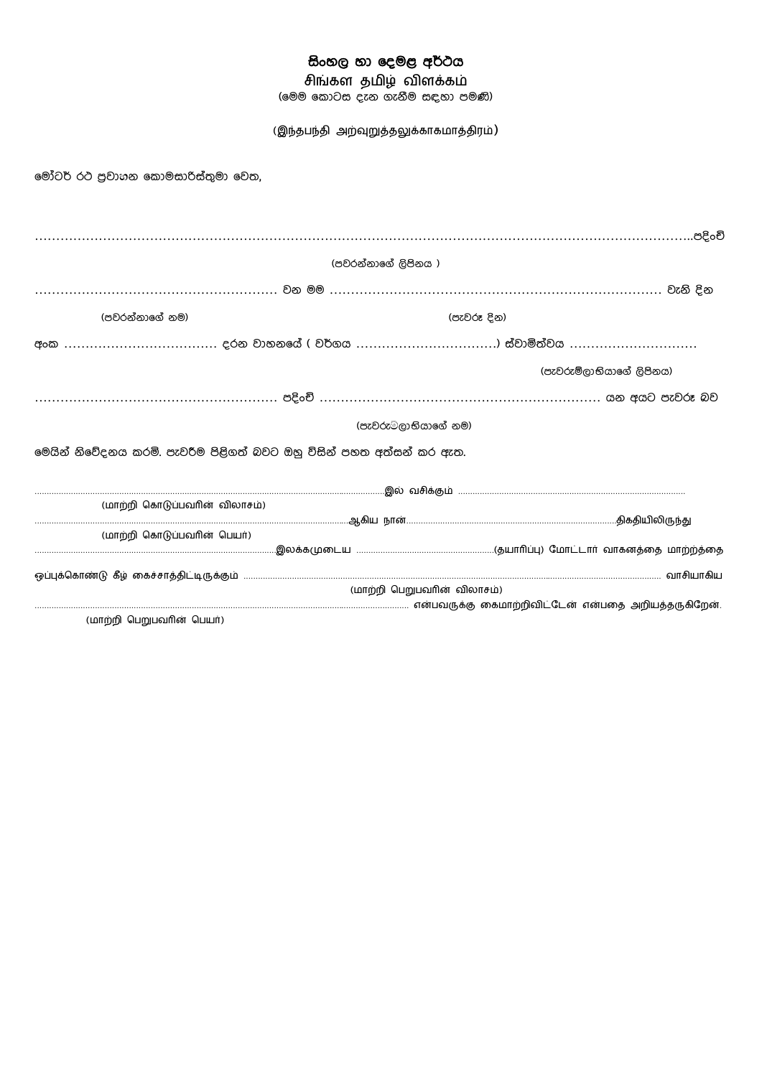# සිංහල හා දෙමළ අර්ථය

சிங்கள தமிழ் விளக்கம்

(මෙම කොටස දැන ගැනීම සඳහා පමණි)

(இந்தபந்தி அற்வுறுத்தலுக்காகமாத்திரம்)

මෝටර් රථ පුවාහන කොමසාරිස්තුමා වෙත,

|                                                                      | (පවරන්නාගේ ලිපිනය )         |                          |
|----------------------------------------------------------------------|-----------------------------|--------------------------|
|                                                                      |                             |                          |
| (පවරන්නාගේ නම)                                                       |                             | (පැවරූ දින)              |
|                                                                      |                             |                          |
|                                                                      |                             | (පැවරුම්ලාභියාගේ ලිපිනය) |
|                                                                      |                             |                          |
|                                                                      | (පැවරුම්ලාභියාගේ නම)        |                          |
| මෙයින් නිවේදනය කරමි. පැවරීම පිළිගත් බවට ඔහු විසින් පහත අත්සන් කර ඇත. |                             |                          |
|                                                                      |                             |                          |
| (மாற்றி கொடுப்பவரின் விலாசம்)                                        |                             |                          |
|                                                                      |                             |                          |
| (மாற்றி கொடுப்பவரின் பெயர்)                                          |                             |                          |
|                                                                      |                             |                          |
|                                                                      | (மாற்றி பெறுபவரின் விலாசம்) |                          |
| (1.0700000)(1.000100000)                                             |                             |                          |

(மாற்றி பெறுபவரின் பெயர்)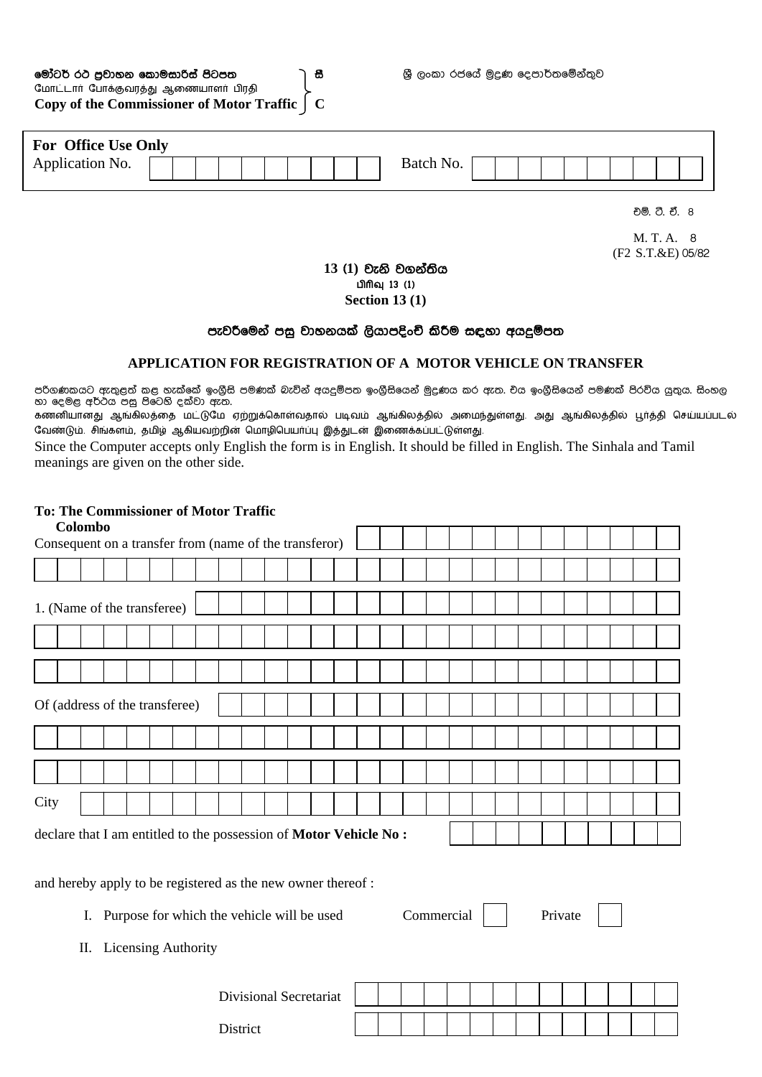| මෝටර් රථ පුවාහන කොමසාරිස් පිටපත               | ີ 85 |
|-----------------------------------------------|------|
| மோட்டார் போக்குவரத்து ஆணையாளர் பிரதி          |      |
| Copy of the Commissioner of Motor Traffic   C |      |

| <b>For Office Use Only</b> |  |  |  |  |  |           |  |  |  |  |  |  |
|----------------------------|--|--|--|--|--|-----------|--|--|--|--|--|--|
| Application No.            |  |  |  |  |  | Batch No. |  |  |  |  |  |  |

එò. £. ඒ. 8

M. T. A. 8 (F2 S.T.&E) 05/82

# 13 (1) වැනි වගන්තිය பிரிவு 13 (1)

**Section 13 (1)** 

### පැවරීමෙන් පසු වාහනයක් ලියාපදිංචි කිරීම සඳහා අයදුම්පත

### **APPLICATION FOR REGISTRATION OF A MOTOR VEHICLE ON TRANSFER**

පරිගණකයට ඇතුළත් කළ හැක්කේ ඉංගීසි පමණක් බැවින් අයදුම්පත ඉංගීසියෙන් මුදුණය කර ඇත. චය ඉංගීසියෙන් පමණක් පිරව්ය යුතුය. සිංහල හා දෙමළ අර්ථය පසු පිටෙහි දක්වා ඇත.

்கணனியானது ஆங்கிலத்தை மட்டுமே ஏற்றுக்கொள்வதால் படிவம் ஆங்கிலத்தில் அமைந்துள்ளது. அது ஆங்கிலத்தில் பூர்த்தி செய்யப்படல் வேண்டும். சிங்களம், தமிழ் ஆகியவற்றின் மொழிபெயர்ப்பு இத்துடன் இணைக்கப்பட்டுள்ளது.

Since the Computer accepts only English the form is in English. It should be filled in English. The Sinhala and Tamil meanings are given on the other side.

## **To: The Commissioner of Motor Traffic**

| Colombo                                                           |  |  |
|-------------------------------------------------------------------|--|--|
| Consequent on a transfer from (name of the transferor)            |  |  |
|                                                                   |  |  |
| 1. (Name of the transferee)                                       |  |  |
|                                                                   |  |  |
|                                                                   |  |  |
| Of (address of the transferee)                                    |  |  |
|                                                                   |  |  |
|                                                                   |  |  |
| City                                                              |  |  |
| declare that I am entitled to the possession of Motor Vehicle No: |  |  |

and hereby apply to be registered as the new owner thereof :

I. Purpose for which the vehicle will be used Commercial Private

II. Licensing Authority

| <b>Divisional Secretariat</b> |  |  |  |  |  |  |  |
|-------------------------------|--|--|--|--|--|--|--|
| District                      |  |  |  |  |  |  |  |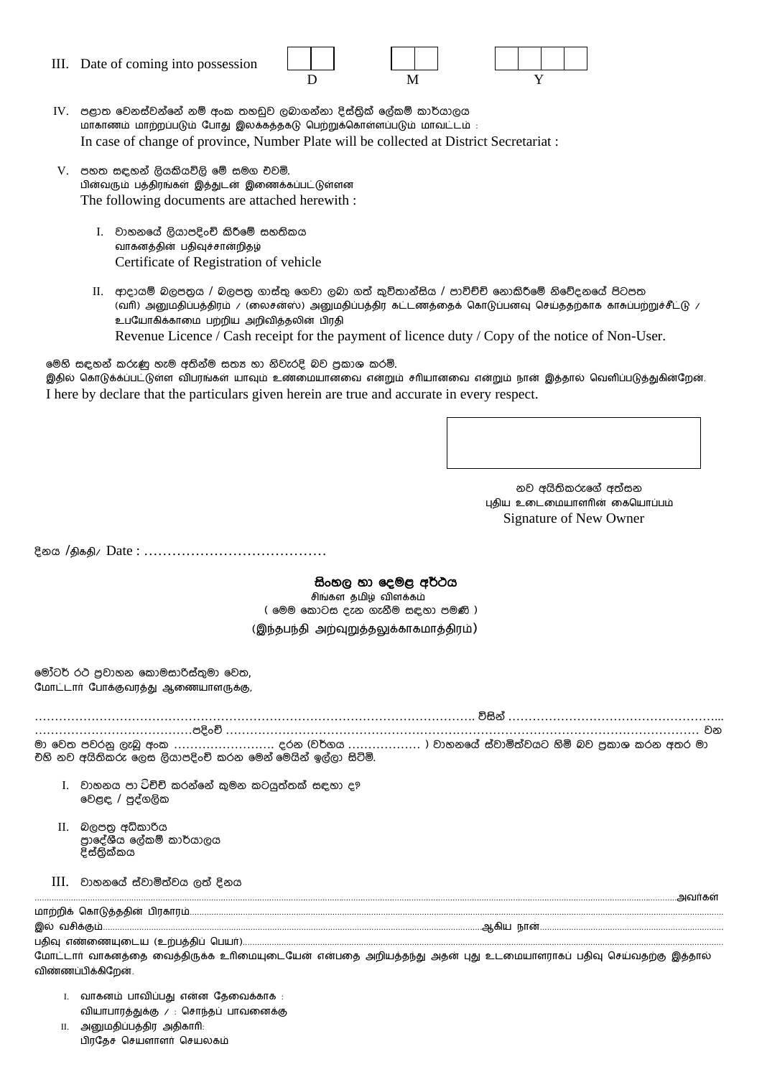III. Date of coming into possession



- IV. පළාත වෙනස්වන්නේ නම් අංක තහඩුව ලබාගන්නා දිස්තික් ලේකම් කාර්යාලය மாகாணம் மாற்றப்படும் போது இலக்கத்தகடு பெற்றுக்கொள்ளப்படும் மாவட்டம் : In case of change of province, Number Plate will be collected at District Secretariat :
- V. පහත සඳහන් ලියකියවිලි මේ සමග එවමි. பின்வரும் பத்திரங்கள் இத்துடன் இணைக்கப்பட்டுள்ளன The following documents are attached herewith :
	- I. වාහනයේ ලියාපදිංචි කිරීමේ සහතිකය வாகனத்தின் பதிவுச்சான்றிதழ் Certificate of Registration of vehicle
	- II. ආදායම් බලපතුය / බලපතු ගාස්තු ගෙවා ලබා ගත් කුවිතාන්සිය / පාවිච්චි නොකිරීමේ නිවේදනයේ පිටපත (வரி) அனுமதிப்பத்திரம் / (லைசன்ஸ்) அனுமதிப்பத்திர கட்டணத்தைக் கொடுப்பனவு செய்ததற்காக காசுப்பற்றுச்சீட்டு / உபயோகிக்காமை பற்றிய அறிவித்தலின் பிரதி Revenue Licence / Cash receipt for the payment of licence duty / Copy of the notice of Non-User.

මෙහි සඳහන් කරුණු හැම අතින්ම සතූ හා නිවැරදි බව පකාශ කරමි. இதில் கொடுக்க்ப்பட்டுள்ள விபரங்கள் யாவும் உண்மையானவை என்றும் சரியானவை என்றும் நான் இத்தால் வெளிப்படுத்துகின்றேன். I here by declare that the particulars given herein are true and accurate in every respect.

> නව අයිතිකරුගේ අත්සන புதிய உடைமையாளரின் கையொப்பம் Signature of New Owner

දිනය /திகதி/ Date : ……………………………………

#### සිංහල හා ෙදමළ අĂථය

சிங்கள தமிழ் விளக்கம் ( මෙම කොටස දැන ගැනීම සඳහා පමණි ) (இந்தபந்தி அற்வுறுத்தலுக்காகமாத்திரம்)

මෝටර් රථ පුවාහන කොමසාරිස්තුමා වෙත, மோட்டார் போக்குவரத்து ஆணையாளருக்கு,

………………………………………………………………………………………………. Ēසින් ……………………………………………...

…………………………………පදUංz ……………………………………………………………………………………………………… වන මා වෙත පවරනු ලැබූ අංක .......................... දරන (වර්ගය .................... ) වාහනයේ ස්වාමිත්වයට හිමි බව පුකාශ කරන අතර මා චහි නව අයිතිකරු ලෙස ලියාපදිංචි කරන මෙන් මෙයින් ඉල්ලා සිටිමි.

- I. වාහනය පා ටිච්චි කරන්නේ කුමන කටයුත්තක් සඳහා ද? වෙළඳ / පුද්ගලික
- II. බලපතු අධිකාරිය පාදේශීය ලේකම් කාර්යාලය දිස්තික්කය
- $III.$  වාහනයේ ස්වාමිත්වය ලත් දිනය

மோட்டார் வாகனத்தை வைத்திருக்க உரிமையுடையேன் என்பதை அறியத்தந்து அதன் புது உடமையாளராகப் பதிவு செய்வதற்கு இத்தால் விண்ணப்பிக்கிறேன்.

- I. வாகனம் பாவிப்பது என்ன தேவைக்காக : வியாபாரத்துக்கு / : சொந்தப் பாவனைக்கு II. அனுமதிப்பத்திர அதிகாரி:
	- பிரதேச செயளாளர் செயலகம்